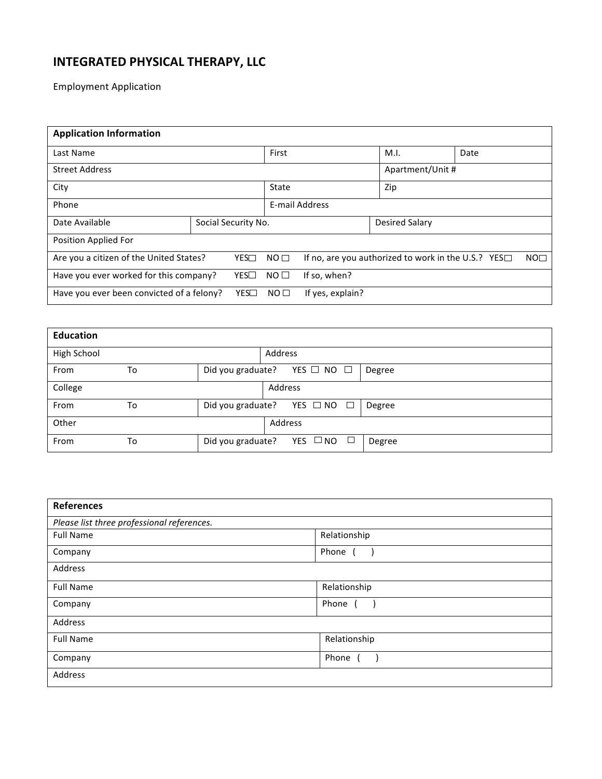## **INTEGRATED PHYSICAL THERAPY, LLC**

Employment Application

| <b>Application Information</b>                    |  |                     |                 |                                                           |                       |  |                 |  |
|---------------------------------------------------|--|---------------------|-----------------|-----------------------------------------------------------|-----------------------|--|-----------------|--|
| Last Name                                         |  |                     | First           |                                                           | M.I.                  |  | Date            |  |
| <b>Street Address</b>                             |  |                     |                 | Apartment/Unit #                                          |                       |  |                 |  |
| City                                              |  |                     | State           |                                                           | Zip                   |  |                 |  |
| Phone                                             |  |                     |                 | E-mail Address                                            |                       |  |                 |  |
| Date Available                                    |  | Social Security No. |                 |                                                           | <b>Desired Salary</b> |  |                 |  |
| Position Applied For                              |  |                     |                 |                                                           |                       |  |                 |  |
| Are you a citizen of the United States?           |  | YES                 | NO <sub>1</sub> | If no, are you authorized to work in the U.S.? YES $\Box$ |                       |  | NO <sub>1</sub> |  |
| Have you ever worked for this company?            |  | YES                 | NO <sub>0</sub> | If so, when?                                              |                       |  |                 |  |
| Have you ever been convicted of a felony?<br>YES□ |  |                     | NO <sub>1</sub> | If yes, explain?                                          |                       |  |                 |  |

| <b>Education</b> |    |                   |                                        |        |
|------------------|----|-------------------|----------------------------------------|--------|
| High School      |    |                   | <b>Address</b>                         |        |
| From             | To | Did you graduate? | YES $\Box$ NO $\Box$                   | Degree |
| College          |    |                   | Address                                |        |
| From             | To |                   | Did you graduate? YES $\Box$ NO $\Box$ | Degree |
| Other            |    |                   | Address                                |        |
| From             | To | Did you graduate? | YES □ NO<br>$\mathbb{Z}^2$             | Degree |

| <b>References</b>                          |              |
|--------------------------------------------|--------------|
| Please list three professional references. |              |
| <b>Full Name</b>                           | Relationship |
| Company                                    | Phone (      |
| Address                                    |              |
| <b>Full Name</b>                           | Relationship |
| Company                                    | Phone        |
| Address                                    |              |
| <b>Full Name</b>                           | Relationship |
| Company                                    | Phone        |
| Address                                    |              |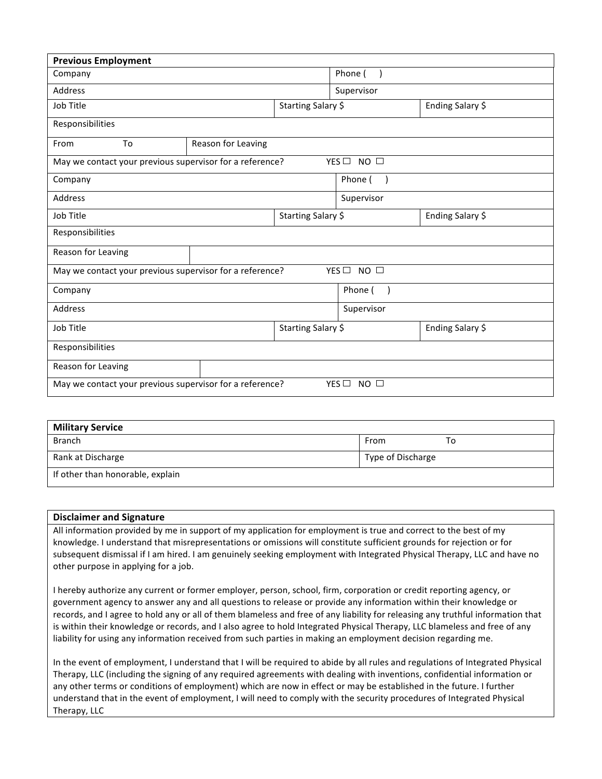| <b>Previous Employment</b>                                                      |                    |                    |                           |                  |  |
|---------------------------------------------------------------------------------|--------------------|--------------------|---------------------------|------------------|--|
| Company                                                                         |                    |                    | Phone (                   |                  |  |
| Address                                                                         |                    |                    | Supervisor                |                  |  |
| Job Title                                                                       |                    | Starting Salary \$ |                           | Ending Salary \$ |  |
| Responsibilities                                                                |                    |                    |                           |                  |  |
| To<br>From                                                                      | Reason for Leaving |                    |                           |                  |  |
| YES□ NO □<br>May we contact your previous supervisor for a reference?           |                    |                    |                           |                  |  |
| Company                                                                         |                    |                    | Phone (                   |                  |  |
| Address                                                                         |                    |                    | Supervisor                |                  |  |
| Job Title                                                                       | Starting Salary \$ |                    | Ending Salary \$          |                  |  |
| Responsibilities                                                                |                    |                    |                           |                  |  |
| Reason for Leaving                                                              |                    |                    |                           |                  |  |
| YES <sup>D</sup> NO<br>May we contact your previous supervisor for a reference? |                    |                    |                           |                  |  |
| Company                                                                         |                    |                    | Phone (<br>$\lambda$      |                  |  |
| Address                                                                         |                    |                    | Supervisor                |                  |  |
| Job Title                                                                       | Starting Salary \$ |                    | Ending Salary \$          |                  |  |
| Responsibilities                                                                |                    |                    |                           |                  |  |
| Reason for Leaving                                                              |                    |                    |                           |                  |  |
| May we contact your previous supervisor for a reference?                        |                    |                    | YES $\Box$<br>$NO$ $\Box$ |                  |  |

| <b>Military Service</b>          |                   |  |  |  |  |
|----------------------------------|-------------------|--|--|--|--|
| <b>Branch</b>                    | From<br>10        |  |  |  |  |
| Rank at Discharge                | Type of Discharge |  |  |  |  |
| If other than honorable, explain |                   |  |  |  |  |

## **Disclaimer and Signature**

All information provided by me in support of my application for employment is true and correct to the best of my knowledge. I understand that misrepresentations or omissions will constitute sufficient grounds for rejection or for subsequent dismissal if I am hired. I am genuinely seeking employment with Integrated Physical Therapy, LLC and have no other purpose in applying for a job.

I hereby authorize any current or former employer, person, school, firm, corporation or credit reporting agency, or government agency to answer any and all questions to release or provide any information within their knowledge or records, and I agree to hold any or all of them blameless and free of any liability for releasing any truthful information that is within their knowledge or records, and I also agree to hold Integrated Physical Therapy, LLC blameless and free of any liability for using any information received from such parties in making an employment decision regarding me.

In the event of employment, I understand that I will be required to abide by all rules and regulations of Integrated Physical Therapy, LLC (including the signing of any required agreements with dealing with inventions, confidential information or any other terms or conditions of employment) which are now in effect or may be established in the future. I further understand that in the event of employment, I will need to comply with the security procedures of Integrated Physical Therapy, LLC